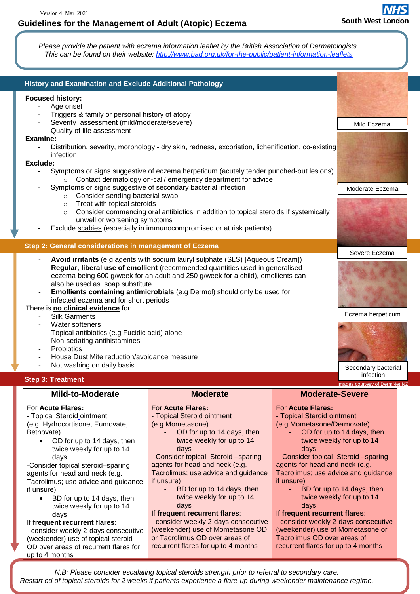# **Guidelines for the Management of Adult (Atopic) Eczema**

*Please provide the patient with eczema information leaflet by the British Association of Dermatologists. This can be found on their website: <http://www.bad.org.uk/for-the-public/patient-information-leaflets>*

| <b>History and Examination and Exclude Additional Pathology</b>                                                                                                                                                                                                                                                                                                                                                                                                                                                                                                                                                                                                                         |                                  |
|-----------------------------------------------------------------------------------------------------------------------------------------------------------------------------------------------------------------------------------------------------------------------------------------------------------------------------------------------------------------------------------------------------------------------------------------------------------------------------------------------------------------------------------------------------------------------------------------------------------------------------------------------------------------------------------------|----------------------------------|
| <b>Focused history:</b><br>Age onset<br>Triggers & family or personal history of atopy                                                                                                                                                                                                                                                                                                                                                                                                                                                                                                                                                                                                  |                                  |
| Severity assessment (mild/moderate/severe)<br>Quality of life assessment                                                                                                                                                                                                                                                                                                                                                                                                                                                                                                                                                                                                                | Mild Eczema                      |
| Examine:<br>Distribution, severity, morphology - dry skin, redness, excoriation, lichenification, co-existing<br>$\blacksquare$<br>infection<br>Exclude:<br>Symptoms or signs suggestive of eczema herpeticum (acutely tender punched-out lesions)<br>Contact dermatology on-call/ emergency department for advice<br>Symptoms or signs suggestive of secondary bacterial infection<br>Consider sending bacterial swab<br>$\circ$<br>Treat with topical steroids<br>$\circ$<br>Consider commencing oral antibiotics in addition to topical steroids if systemically<br>$\circ$<br>unwell or worsening symptoms<br>Exclude scabies (especially in immunocompromised or at risk patients) | Moderate Eczema                  |
| Step 2: General considerations in management of Eczema                                                                                                                                                                                                                                                                                                                                                                                                                                                                                                                                                                                                                                  | Severe Eczema                    |
| Avoid irritants (e.g agents with sodium lauryl sulphate (SLS) [Aqueous Cream])<br>$\blacksquare$<br>Regular, liberal use of emollient (recommended quantities used in generalised<br>eczema being 600 g/week for an adult and 250 g/week for a child), emollients can<br>also be used as soap substitute<br>Emollients containing antimicrobials (e.g Dermol) should only be used for<br>$\blacksquare$<br>infected eczema and for short periods<br>There is no clinical evidence for:<br><b>Silk Garments</b><br>Water softeners                                                                                                                                                       | Eczema herpeticum                |
| Topical antibiotics (e.g Fucidic acid) alone<br>Non-sedating antihistamines<br><b>Probiotics</b><br>House Dust Mite reduction/avoidance measure<br>Not washing on daily basis                                                                                                                                                                                                                                                                                                                                                                                                                                                                                                           | Secondary bacterial<br>infection |
| <b>Step 3: Treatment</b>                                                                                                                                                                                                                                                                                                                                                                                                                                                                                                                                                                                                                                                                | Images courtesy of DermNet NZ    |

| <b>Mild-to-Moderate</b>                 | <b>Moderate</b>                      | <b>Moderate-Severe</b>               |
|-----------------------------------------|--------------------------------------|--------------------------------------|
| For Acute Flares:                       | For Acute Flares:                    | For Acute Flares:                    |
| - Topical Steroid ointment              | - Topical Steroid ointment           | - Topical Steroid ointment           |
| (e.g. Hydrocortisone, Eumovate,         | (e.g.Mometasone)                     | (e.g.Mometasone/Dermovate)           |
| Betnovate)                              | OD for up to 14 days, then           | OD for up to 14 days, then           |
| OD for up to 14 days, then              | twice weekly for up to 14            | twice weekly for up to 14            |
| twice weekly for up to 14               | days                                 | days                                 |
| days                                    | - Consider topical Steroid – sparing | - Consider topical Steroid -sparing  |
| -Consider topical steroid-sparing       | agents for head and neck (e.g.       | agents for head and neck (e.g.       |
| agents for head and neck (e.g.          | Tacrolimus; use advice and guidance  | Tacrolimus; use advice and guidance  |
| Tacrolimus; use advice and guidance     | if unsure)                           | if unsure)                           |
| if unsure)                              | BD for up to 14 days, then           | BD for up to 14 days, then           |
| BD for up to 14 days, then<br>$\bullet$ | twice weekly for up to 14            | twice weekly for up to 14            |
| twice weekly for up to 14               | days                                 | days                                 |
| days                                    | If frequent recurrent flares:        | If frequent recurrent flares:        |
| If frequent recurrent flares:           | - consider weekly 2-days consecutive | - consider weekly 2-days consecutive |
| - consider weekly 2-days consecutive    | (weekender) use of Mometasone OD     | (weekender) use of Mometasone or     |
| (weekender) use of topical steroid      | or Tacrolimus OD over areas of       | Tacrolimus OD over areas of          |
| OD over areas of recurrent flares for   | recurrent flares for up to 4 months  | recurrent flares for up to 4 months  |
| up to 4 months                          |                                      |                                      |

*N.B: Please consider escalating topical steroids strength prior to referral to secondary care.* Restart od of topical steroids for 2 weeks if patients experience a flare-up during weekender maintenance regime.